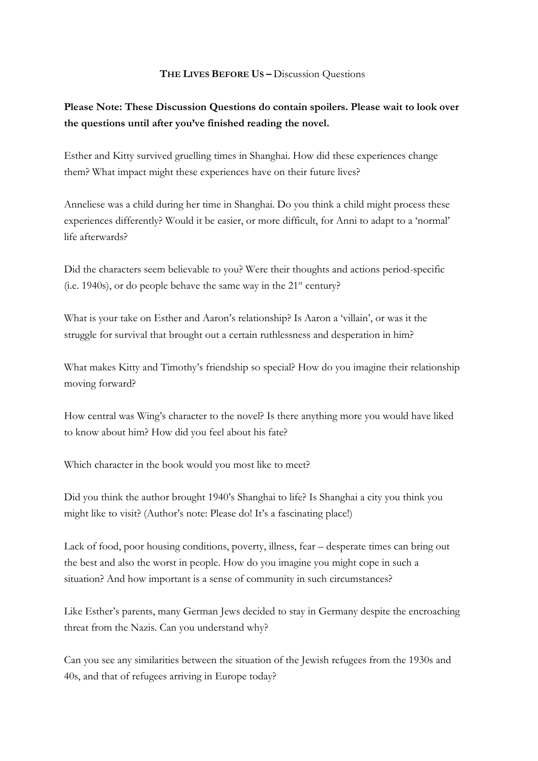## **THE LIVES BEFORE US –** Discussion Questions

## **Please Note: These Discussion Questions do contain spoilers. Please wait to look over the questions until after you've finished reading the novel.**

Esther and Kitty survived gruelling times in Shanghai. How did these experiences change them? What impact might these experiences have on their future lives?

Anneliese was a child during her time in Shanghai. Do you think a child might process these experiences differently? Would it be easier, or more difficult, for Anni to adapt to a 'normal' life afterwards?

Did the characters seem believable to you? Were their thoughts and actions period-specific (i.e. 1940s), or do people behave the same way in the  $21<sup>st</sup>$  century?

What is your take on Esther and Aaron's relationship? Is Aaron a 'villain', or was it the struggle for survival that brought out a certain ruthlessness and desperation in him?

What makes Kitty and Timothy's friendship so special? How do you imagine their relationship moving forward?

How central was Wing's character to the novel? Is there anything more you would have liked to know about him? How did you feel about his fate?

Which character in the book would you most like to meet?

Did you think the author brought 1940's Shanghai to life? Is Shanghai a city you think you might like to visit? (Author's note: Please do! It's a fascinating place!)

Lack of food, poor housing conditions, poverty, illness, fear – desperate times can bring out the best and also the worst in people. How do you imagine you might cope in such a situation? And how important is a sense of community in such circumstances?

Like Esther's parents, many German Jews decided to stay in Germany despite the encroaching threat from the Nazis. Can you understand why?

Can you see any similarities between the situation of the Jewish refugees from the 1930s and 40s, and that of refugees arriving in Europe today?